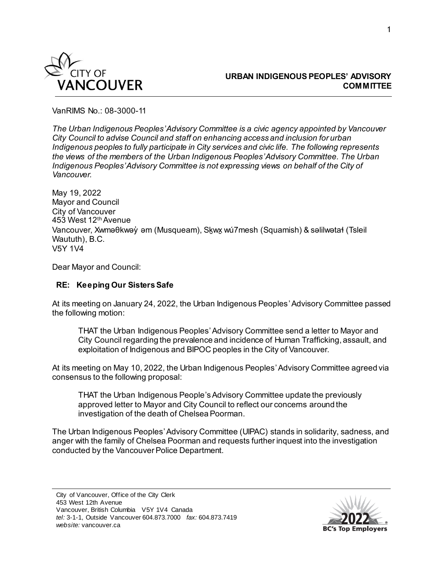

## **URBAN INDIGENOUS PEOPLES' ADVISORY COMMITTEE**

VanRIMS No.: 08-3000-11

*The Urban Indigenous Peoples' Advisory Committee is a civic agency appointed by Vancouver City Council to advise Council and staff on enhancing access and inclusion for urban Indigenous peoples to fully participate in City services and civic life. The following represents the views of the members of the Urban Indigenous Peoples' Advisory Committee. The Urban Indigenous Peoples' Advisory Committee is not expressing views on behalf of the City of Vancouver.*

May 19, 2022 Mayor and Council City of Vancouver 453 West 12<sup>th</sup> Avenue Vancouver, Xwməθkwəy̓ əm (Musqueam), Sḵwx̱ wú7mesh (Squamish) & səlilwətaɬ (Tsleil Waututh), B.C. V5Y 1V4

Dear Mayor and Council:

## **RE: Keeping Our Sisters Safe**

At its meeting on January 24, 2022, the Urban Indigenous Peoples' Advisory Committee passed the following motion:

THAT the Urban Indigenous Peoples' Advisory Committee send a letter to Mayor and City Council regarding the prevalence and incidence of Human Trafficking, assault, and exploitation of Indigenous and BIPOC peoples in the City of Vancouver.

At its meeting on May 10, 2022, the Urban Indigenous Peoples' Advisory Committee agreed via consensus to the following proposal:

THAT the Urban Indigenous People's Advisory Committee update the previously approved letter to Mayor and City Council to reflect our concerns around the investigation of the death of Chelsea Poorman.

The Urban Indigenous Peoples' Advisory Committee (UIPAC) stands in solidarity, sadness, and anger with the family of Chelsea Poorman and requests further inquest into the investigation conducted by the Vancouver Police Department.

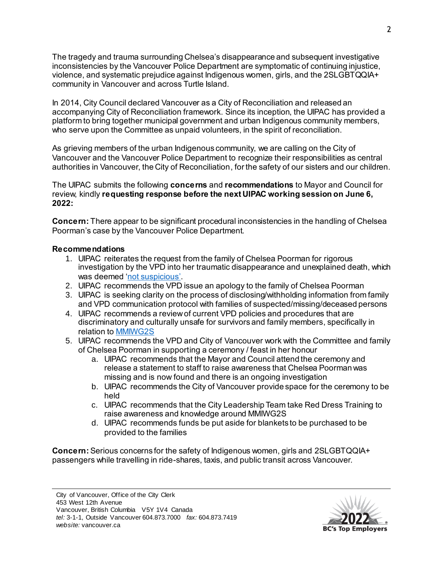The tragedy and trauma surrounding Chelsea's disappearance and subsequent investigative inconsistencies by the Vancouver Police Department are symptomatic of continuing injustice, violence, and systematic prejudice against Indigenous women, girls, and the 2SLGBTQQIA+ community in Vancouver and across Turtle Island.

In 2014, City Council declared Vancouver as a City of Reconciliation and released an accompanying City of Reconciliation framework. Since its inception, the UIPAC has provided a platform to bring together municipal government and urban Indigenous community members, who serve upon the Committee as unpaid volunteers, in the spirit of reconciliation.

As grieving members of the urban Indigenous community, we are calling on the City of Vancouver and the Vancouver Police Department to recognize their responsibilities as central authorities in Vancouver, the City of Reconciliation, for the safety of our sisters and our children.

The UIPAC submits the following **concerns** and **recommendations** to Mayor and Council for review, kindly **requesting response before the next UIPAC working session on June 6, 2022:**

**Concern:** There appear to be significant procedural inconsistencies in the handling of Chelsea Poorman's case by the Vancouver Police Department.

## **Recommendations**

- 1. UIPAC reiterates the request from the family of Chelsea Poorman for rigorous investigation by the VPD into her traumatic disappearance and unexplained death, which was deemed ['not suspicious'.](https://bc.ctvnews.ca/indigenous-leaders-outraged-over-vpd-s-investigation-of-chelsea-poorman-s-death-1.5902986)
- 2. UIPAC recommends the VPD issue an apology to the family of Chelsea Poorman
- 3. UIPAC is seeking clarity on the process of disclosing/withholding information from family and VPD communication protocol with families of suspected/missing/deceased persons
- 4. UIPAC recommends a review of current VPD policies and procedures that are discriminatory and culturally unsafe for survivors and family members, specifically in relation to [MMIWG2S](https://www.mmiwg-ffada.ca/)
- 5. UIPAC recommends the VPD and City of Vancouver work with the Committee and family of Chelsea Poorman in supporting a ceremony / feast in her honour
	- a. UIPAC recommends that the Mayor and Council attend the ceremony and release a statement to staff to raise awareness that Chelsea Poorman was missing and is now found and there is an ongoing investigation
	- b. UIPAC recommends the City of Vancouver provide space for the ceremony to be held
	- c. UIPAC recommends that the City Leadership Team take Red Dress Training to raise awareness and knowledge around MMIWG2S
	- d. UIPAC recommends funds be put aside for blankets to be purchased to be provided to the families

**Concern:** Serious concerns for the safety of Indigenous women, girls and 2SLGBTQQIA+ passengers while travelling in ride-shares, taxis, and public transit across Vancouver.

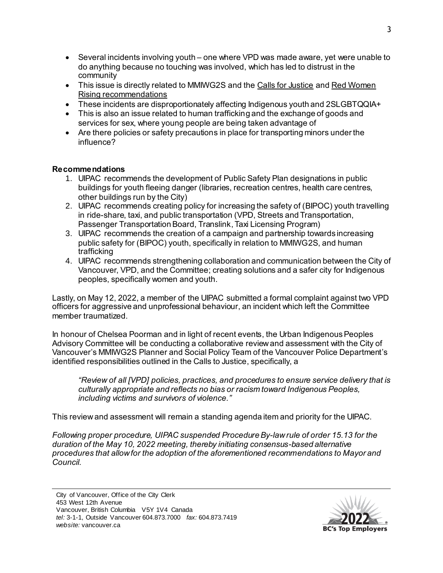- Several incidents involving youth one where VPD was made aware, yet were unable to do anything because no touching was involved, which has led to distrust in the community
- This issue is directly related to MMIWG2S and the [Calls for Justice](https://www.mmiwg-ffada.ca/wp-content/uploads/2019/06/Calls_for_Justice.pdf) and Red Women [Rising recommendations](https://dewc.ca/wp-content/uploads/2019/03/MMIW-Report-Final-March-10-WEB.pdf)
- These incidents are disproportionately affecting Indigenous youth and 2SLGBTQQIA+
- This is also an issue related to human trafficking and the exchange of goods and services for sex, where young people are being taken advantage of
- Are there policies or safety precautions in place for transporting minors under the influence?

## **Recommendations**

- 1. UIPAC recommends the development of Public Safety Plan designations in public buildings for youth fleeing danger (libraries, recreation centres, health care centres, other buildings run by the City)
- 2. UIPAC recommends creating policy for increasing the safety of (BIPOC) youth travelling in ride-share, taxi, and public transportation (VPD, Streets and Transportation, Passenger Transportation Board, Translink, Taxi Licensing Program)
- 3. UIPAC recommends the creation of a campaign and partnership towards increasing public safety for (BIPOC) youth, specifically in relation to MMIWG2S, and human trafficking
- 4. UIPAC recommends strengthening collaboration and communication between the City of Vancouver, VPD, and the Committee; creating solutions and a safer city for Indigenous peoples, specifically women and youth.

Lastly, on May 12, 2022, a member of the UIPAC submitted a formal complaint against two VPD officers for aggressive and unprofessional behaviour, an incident which left the Committee member traumatized.

In honour of Chelsea Poorman and in light of recent events, the Urban Indigenous Peoples Advisory Committee will be conducting a collaborative review and assessment with the City of Vancouver's MMIWG2S Planner and Social Policy Team of the Vancouver Police Department's identified responsibilities outlined in the Calls to Justice, specifically, a

*"Review of all [VPD] policies, practices, and procedures to ensure service delivery that is culturally appropriate and reflects no bias or racism toward Indigenous Peoples, including victims and survivors of violence."* 

This review and assessment will remain a standing agenda item and priority for the UIPAC.

*Following proper procedure, UIPAC suspended Procedure By-lawrule of order 15.13 for the duration of the May 10, 2022 meeting, thereby initiating consensus-based alternative procedures that allow for the adoption of the aforementioned recommendations to Mayor and Council.*